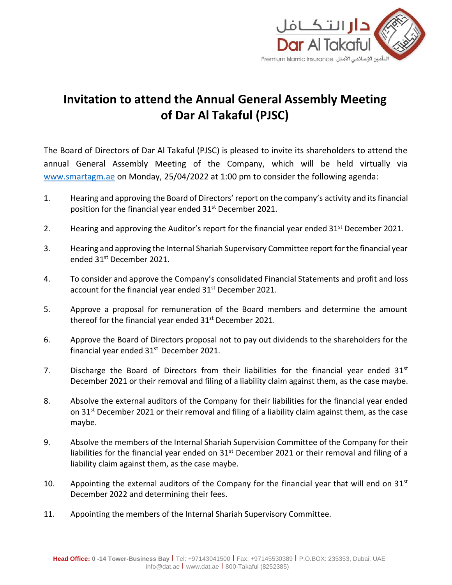

## **Invitation to attend the Annual General Assembly Meeting of Dar Al Takaful (PJSC)**

The Board of Directors of Dar Al Takaful (PJSC) is pleased to invite its shareholders to attend the annual General Assembly Meeting of the Company, which will be held virtually via [www.smartagm.ae](http://www.smartagm.ae/) on Monday, 25/04/2022 at 1:00 pm to consider the following agenda:

- 1. Hearing and approving the Board of Directors' report on the company's activity and its financial position for the financial year ended 31<sup>st</sup> December 2021.
- 2. Hearing and approving the Auditor's report for the financial year ended  $31<sup>st</sup>$  December 2021.
- 3. Hearing and approving the Internal Shariah Supervisory Committee report for the financial year ended 31st December 2021.
- 4. To consider and approve the Company's consolidated Financial Statements and profit and loss account for the financial year ended  $31<sup>st</sup>$  December 2021.
- 5. Approve a proposal for remuneration of the Board members and determine the amount thereof for the financial year ended 31<sup>st</sup> December 2021.
- 6. Approve the Board of Directors proposal not to pay out dividends to the shareholders for the financial year ended  $31<sup>st</sup>$  December 2021.
- 7. Discharge the Board of Directors from their liabilities for the financial year ended  $31<sup>st</sup>$ December 2021 or their removal and filing of a liability claim against them, as the case maybe.
- 8. Absolve the external auditors of the Company for their liabilities for the financial year ended on  $31^{st}$  December 2021 or their removal and filing of a liability claim against them, as the case maybe.
- 9. Absolve the members of the Internal Shariah Supervision Committee of the Company for their liabilities for the financial year ended on  $31^{st}$  December 2021 or their removal and filing of a liability claim against them, as the case maybe.
- 10. Appointing the external auditors of the Company for the financial year that will end on  $31<sup>st</sup>$ December 2022 and determining their fees.
- 11. Appointing the members of the Internal Shariah Supervisory Committee.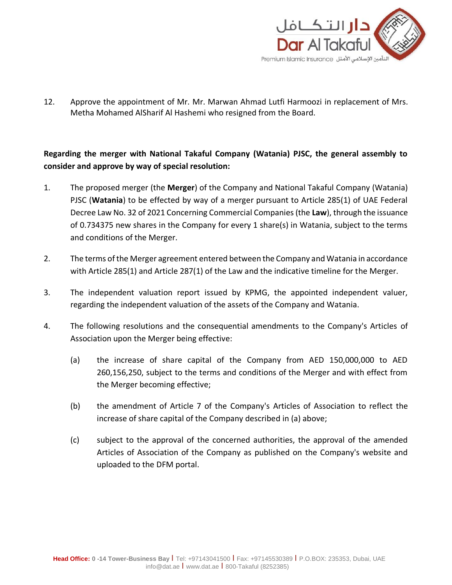

12. Approve the appointment of Mr. Mr. Marwan Ahmad Lutfi Harmoozi in replacement of Mrs. Metha Mohamed AlSharif Al Hashemi who resigned from the Board.

## **Regarding the merger with National Takaful Company (Watania) PJSC, the general assembly to consider and approve by way of special resolution:**

- 1. The proposed merger (the **Merger**) of the Company and National Takaful Company (Watania) PJSC (**Watania**) to be effected by way of a merger pursuant to Article 285(1) of UAE Federal Decree Law No. 32 of 2021 Concerning Commercial Companies (the **Law**), through the issuance of 0.734375 new shares in the Company for every 1 share(s) in Watania, subject to the terms and conditions of the Merger.
- 2. The terms of the Merger agreement entered between the Company and Watania in accordance with Article 285(1) and Article 287(1) of the Law and the indicative timeline for the Merger.
- 3. The independent valuation report issued by KPMG, the appointed independent valuer, regarding the independent valuation of the assets of the Company and Watania.
- 4. The following resolutions and the consequential amendments to the Company's Articles of Association upon the Merger being effective:
	- (a) the increase of share capital of the Company from AED 150,000,000 to AED 260,156,250, subject to the terms and conditions of the Merger and with effect from the Merger becoming effective;
	- (b) the amendment of Article 7 of the Company's Articles of Association to reflect the increase of share capital of the Company described in (a) above;
	- (c) subject to the approval of the concerned authorities, the approval of the amended Articles of Association of the Company as published on the Company's website and uploaded to the DFM portal.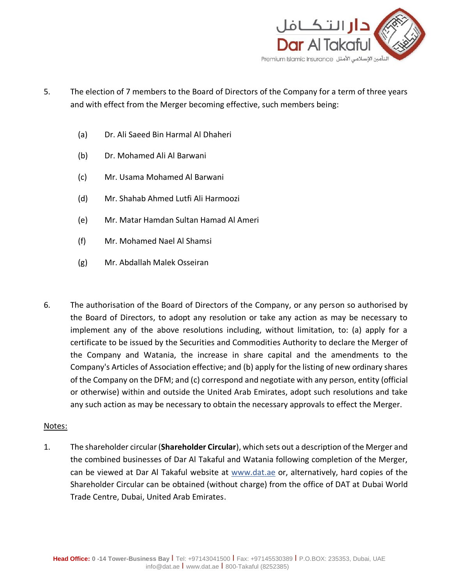

- 5. The election of 7 members to the Board of Directors of the Company for a term of three years and with effect from the Merger becoming effective, such members being:
	- (a) Dr. Ali Saeed Bin Harmal Al Dhaheri
	- (b) Dr. Mohamed Ali Al Barwani
	- (c) Mr. Usama Mohamed Al Barwani
	- (d) Mr. Shahab Ahmed Lutfi Ali Harmoozi
	- (e) Mr. Matar Hamdan Sultan Hamad Al Ameri
	- (f) Mr. Mohamed Nael Al Shamsi
	- (g) Mr. Abdallah Malek Osseiran
- 6. The authorisation of the Board of Directors of the Company, or any person so authorised by the Board of Directors, to adopt any resolution or take any action as may be necessary to implement any of the above resolutions including, without limitation, to: (a) apply for a certificate to be issued by the Securities and Commodities Authority to declare the Merger of the Company and Watania, the increase in share capital and the amendments to the Company's Articles of Association effective; and (b) apply for the listing of new ordinary shares of the Company on the DFM; and (c) correspond and negotiate with any person, entity (official or otherwise) within and outside the United Arab Emirates, adopt such resolutions and take any such action as may be necessary to obtain the necessary approvals to effect the Merger.

## Notes:

1. The shareholder circular (**Shareholder Circular**), which sets out a description of the Merger and the combined businesses of Dar Al Takaful and Watania following completion of the Merger, can be viewed at Dar Al Takaful website at [www.dat.ae](http://www.emaar.com/) or, alternatively, hard copies of the Shareholder Circular can be obtained (without charge) from the office of DAT at Dubai World Trade Centre, Dubai, United Arab Emirates.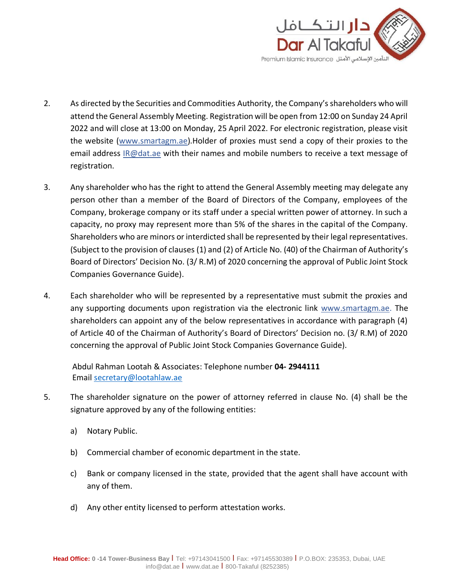

- 2. As directed by the Securities and Commodities Authority, the Company's shareholders who will attend the General Assembly Meeting. Registration will be open from 12:00 on Sunday 24 April 2022 and will close at 13:00 on Monday, 25 April 2022. For electronic registration, please visit the website (www.smartagm.ae).Holder of proxies must send a copy of their proxies to the email address IR@dat.ae with their names and mobile numbers to receive a text message of registration.
- 3. Any shareholder who has the right to attend the General Assembly meeting may delegate any person other than a member of the Board of Directors of the Company, employees of the Company, brokerage company or its staff under a special written power of attorney. In such a capacity, no proxy may represent more than 5% of the shares in the capital of the Company. Shareholders who are minors or interdicted shall be represented by their legal representatives. (Subject to the provision of clauses (1) and (2) of Article No. (40) of the Chairman of Authority's Board of Directors' Decision No. (3/ R.M) of 2020 concerning the approval of Public Joint Stock Companies Governance Guide).
- 4. Each shareholder who will be represented by a representative must submit the proxies and any supporting documents upon registration via the electronic link [www.smartagm.ae.](http://www.smartagm.ae/) The shareholders can appoint any of the below representatives in accordance with paragraph (4) of Article 40 of the Chairman of Authority's Board of Directors' Decision no. (3/ R.M) of 2020 concerning the approval of Public Joint Stock Companies Governance Guide).

Abdul Rahman Lootah & Associates: Telephone number **04- 2944111** Email [secretary@lootahlaw.ae](mailto:secretary@lootahlaw.ae)

- 5. The shareholder signature on the power of attorney referred in clause No. (4) shall be the signature approved by any of the following entities:
	- a) Notary Public.
	- b) Commercial chamber of economic department in the state.
	- c) Bank or company licensed in the state, provided that the agent shall have account with any of them.
	- d) Any other entity licensed to perform attestation works.